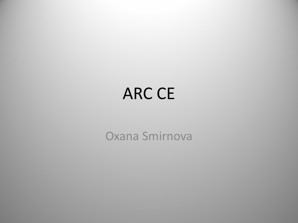## ARC CE

Oxana Smirnova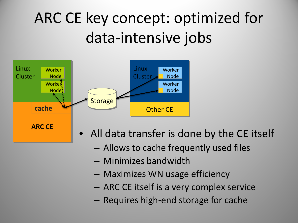# ARC CE key concept: optimized for data-intensive jobs



- All data transfer is done by the CE itself
	- Allows to cache frequently used files
	- Minimizes bandwidth
	- Maximizes WN usage efficiency
	- ARC CE itself is a very complex service
	- Requires high-end storage for cache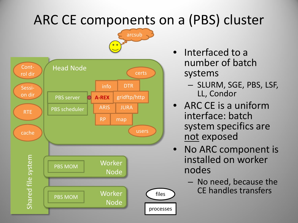### ARC CE components on a (PBS) cluster



- Interfaced to a number of batch systems
	- SLURM, SGE, PBS, LSF, LL, Condor
- ARC CE is a uniform interface: batch system specifics are not exposed
- No ARC component is installed on worker nodes
	- No need, because the CE handles transfers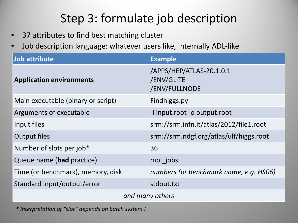### Step 3: formulate job description

- 37 attributes to find best matching cluster
- Job description language: whatever users like, internally ADL-like

| Job attribute                      | <b>Example</b>                                          |
|------------------------------------|---------------------------------------------------------|
| <b>Application environments</b>    | /APPS/HEP/ATLAS-20.1.0.1<br>/ENV/GLITE<br>/ENV/FULLNODE |
| Main executable (binary or script) | Findhiggs.py                                            |
| Arguments of executable            | -i input.root -o output.root                            |
| Input files                        | srm://srm.infn.it/atlas/2012/file1.root                 |
| <b>Output files</b>                | srm://srm.ndgf.org/atlas/ulf/higgs.root                 |
| Number of slots per job*           | 36                                                      |
| Queue name (bad practice)          | mpi jobs                                                |
| Time (or benchmark), memory, disk  | numbers (or benchmark name, e.g. HS06)                  |
| Standard input/output/error        | stdout.txt                                              |
| and many others                    |                                                         |

*\* Interpretation of "slot" depends on batch system !*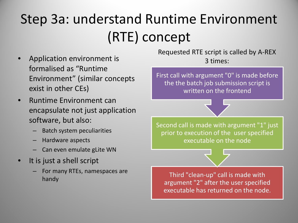## Step 3a: understand Runtime Environment (RTE) concept

- Application environment is formalised as "Runtime Environment" (similar concepts exist in other CEs)
- Runtime Environment can encapsulate not just application software, but also:
	- Batch system peculiarities
	- Hardware aspects
	- Can even emulate gLite WN
- It is just a shell script
	- For many RTEs, namespaces are

Requested RTE script is called by A-REX 3 times:

First call with argument "0" is made before the the batch job submission script is written on the frontend

Second call is made with argument "1" just prior to execution of the user specified executable on the node



handy Kits, handspaces are **the contract of the Third "clean-up" call is made with**<br>thandy argument "2" after the user specified executable has returned on the node.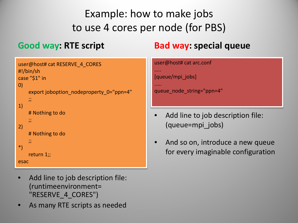#### Example: how to make jobs to use 4 cores per node (for PBS)

#### **Good way: RTE script**

#### **Bad way: special queue**

```
user@host# cat RESERVE_4_CORES
#!/bin/sh
case "$1" in
0)
   export joboption_nodeproperty_0="ppn=4"
```

```
 ;;
1)
```

```
 # Nothing to do
```
 ;; 2) # Nothing to do  $\mathcal{L}$ 

```
*)
      return 1;;
```
esac

- Add line to job description file: (runtimeenvironment= "RESERVE\_4\_CORES")
- As many RTE scripts as needed

```
user@host# cat arc.conf
```

```
[queue/mpi_jobs]
```
…..

.....

```
queue node string="ppn=4"
```
- Add line to job description file: (queue=mpi\_jobs)
- And so on, introduce a new queue for every imaginable configuration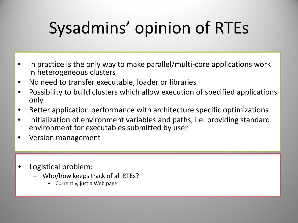# Sysadmins' opinion of RTEs

- In practice is the only way to make parallel/multi-core applications work in heterogeneous clusters
- No need to transfer executable, loader or libraries
- Possibility to build clusters which allow execution of specified applications only
- Better application performance with architecture specific optimizations
- Initialization of environment variables and paths, i.e. providing standard environment for executables submitted by user
- Version management
- Logistical problem:
	- Who/how keeps track of all RTEs?
		- Currently, just a Web page